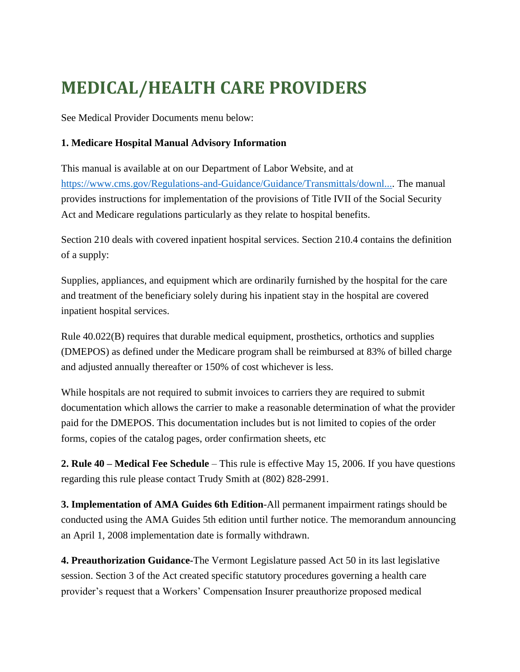## **MEDICAL/HEALTH CARE PROVIDERS**

See Medical Provider Documents menu below:

## **1. Medicare Hospital Manual Advisory Information**

This manual is available at on our Department of Labor Website, and at [https://www.cms.gov/Regulations-and-Guidance/Guidance/Transmittals/downl....](https://www.cms.gov/Regulations-and-Guidance/Guidance/Transmittals/downl...) The manual provides instructions for implementation of the provisions of Title IVII of the Social Security Act and Medicare regulations particularly as they relate to hospital benefits.

Section 210 deals with covered inpatient hospital services. Section 210.4 contains the definition of a supply:

Supplies, appliances, and equipment which are ordinarily furnished by the hospital for the care and treatment of the beneficiary solely during his inpatient stay in the hospital are covered inpatient hospital services.

Rule 40.022(B) requires that durable medical equipment, prosthetics, orthotics and supplies (DMEPOS) as defined under the Medicare program shall be reimbursed at 83% of billed charge and adjusted annually thereafter or 150% of cost whichever is less.

While hospitals are not required to submit invoices to carriers they are required to submit documentation which allows the carrier to make a reasonable determination of what the provider paid for the DMEPOS. This documentation includes but is not limited to copies of the order forms, copies of the catalog pages, order confirmation sheets, etc

**2. Rule 40 – Medical Fee Schedule** – This rule is effective May 15, 2006. If you have questions regarding this rule please contact Trudy Smith at (802) 828-2991.

**3. Implementation of AMA Guides 6th Edition**-All permanent impairment ratings should be conducted using the AMA Guides 5th edition until further notice. The memorandum announcing an April 1, 2008 implementation date is formally withdrawn.

**4. Preauthorization Guidance-**The Vermont Legislature passed Act 50 in its last legislative session. Section 3 of the Act created specific statutory procedures governing a health care provider's request that a Workers' Compensation Insurer preauthorize proposed medical